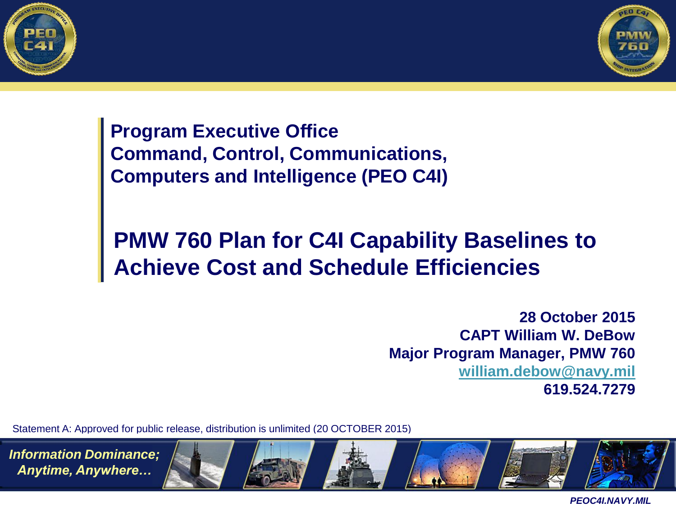



**Program Executive Office Command, Control, Communications, Computers and Intelligence (PEO C4I)**

#### **PMW 760 Plan for C4I Capability Baselines to Achieve Cost and Schedule Efficiencies**

**28 October 2015 CAPT William W. DeBow Major Program Manager, PMW 760 [william.debow@navy.mil](mailto:william.debow@navy.mil) 619.524.7279**

Statement A: Approved for public release, distribution is unlimited (20 OCTOBER 2015)

*Information Dominance; Anytime, Anywhere…*

.

*PEOC4I.NAVY.MIL*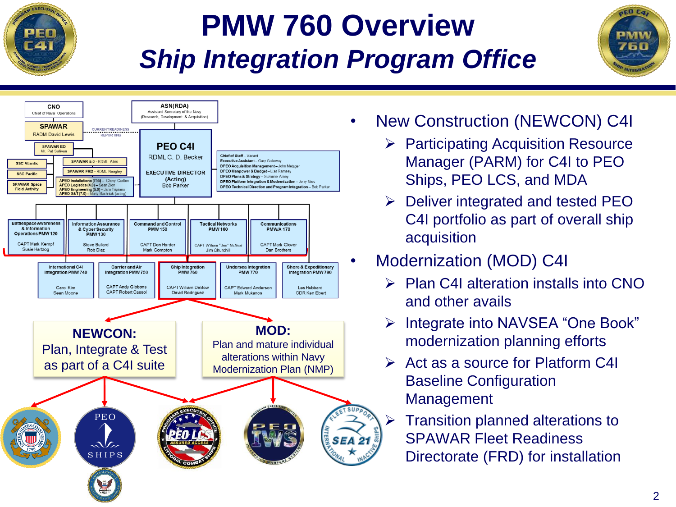

### **PMW 760 Overview** *Ship Integration Program Office*



- New Construction (NEWCON) C4I
	- $\triangleright$  Participating Acquisition Resource Manager (PARM) for C4I to PEO Ships, PEO LCS, and MDA
	- $\triangleright$  Deliver integrated and tested PEO C4I portfolio as part of overall ship acquisition
- Modernization (MOD) C4I
	- $\triangleright$  Plan C4I alteration installs into CNO and other avails
	- Integrate into NAVSEA "One Book" modernization planning efforts
	- $\triangleright$  Act as a source for Platform C4I Baseline Configuration Management
		- Transition planned alterations to SPAWAR Fleet Readiness Directorate (FRD) for installation

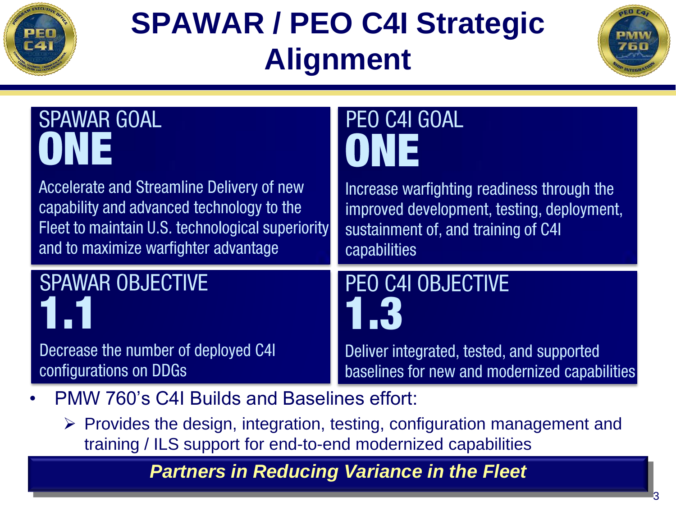

# **SPAWAR / PEO C4I Strategic Alignment**



| <b>SPAWAR GOAL</b>                               | PEO C4I GOAL                                  |  |
|--------------------------------------------------|-----------------------------------------------|--|
| ONE                                              | ONE                                           |  |
| Accelerate and Streamline Delivery of new        | Increase warfighting readiness through the    |  |
| capability and advanced technology to the        | improved development, testing, deployment,    |  |
| Fleet to maintain U.S. technological superiority | sustainment of, and training of C4I           |  |
| and to maximize warfighter advantage             | capabilities                                  |  |
| <b>SPAWAR OBJECTIVE</b>                          | PEO C4I OBJECTIVE                             |  |
| $\blacksquare$                                   | 1.3                                           |  |
| Decrease the number of deployed C4I              | Deliver integrated, tested, and supported     |  |
| configurations on DDGs                           | baselines for new and modernized capabilities |  |

• PMW 760's C4I Builds and Baselines effort:

 $\triangleright$  Provides the design, integration, testing, configuration management and training / ILS support for end-to-end modernized capabilities

*Partners in Reducing Variance in the Fleet*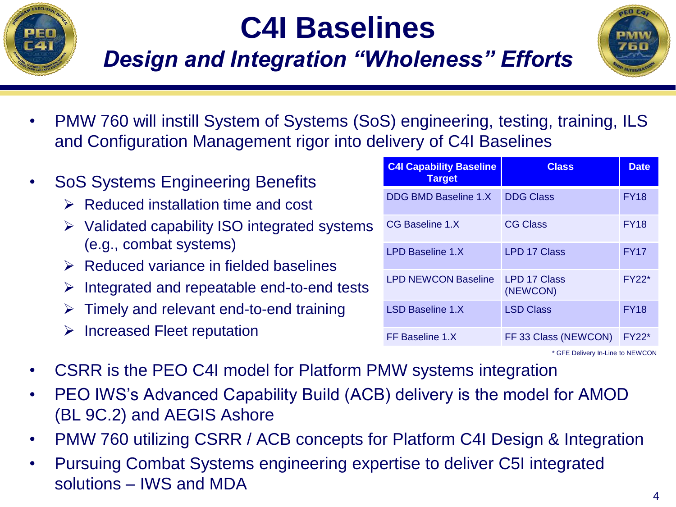

# **C4I Baselines**

### *Design and Integration "Wholeness" Efforts*



- PMW 760 will instill System of Systems (SoS) engineering, testing, training, ILS and Configuration Management rigor into delivery of C4I Baselines
- SoS Systems Engineering Benefits
	- $\triangleright$  Reduced installation time and cost
	- $\triangleright$  Validated capability ISO integrated systems (e.g., combat systems)
	- $\triangleright$  Reduced variance in fielded baselines
	- $\triangleright$  Integrated and repeatable end-to-end tests
	- $\triangleright$  Timely and relevant end-to-end training
	- $\triangleright$  Increased Fleet reputation

| <b>C4I Capability Baseline</b><br><b>Target</b> | <b>Class</b>                    | <b>Date</b> |
|-------------------------------------------------|---------------------------------|-------------|
| <b>DDG BMD Baseline 1.X</b>                     | <b>DDG Class</b>                | <b>FY18</b> |
| CG Baseline 1.X                                 | <b>CG Class</b>                 | <b>FY18</b> |
| LPD Baseline 1.X                                | <b>LPD 17 Class</b>             | <b>FY17</b> |
| <b>LPD NEWCON Baseline</b>                      | <b>LPD 17 Class</b><br>(NEWCON) | $FY22*$     |
| <b>LSD Baseline 1.X</b>                         | <b>LSD Class</b>                | <b>FY18</b> |
| FF Baseline 1.X                                 | FF 33 Class (NEWCON)            | $FY22*$     |

\* GFE Delivery In-Line to NEWCON

- CSRR is the PEO C4I model for Platform PMW systems integration
- PEO IWS's Advanced Capability Build (ACB) delivery is the model for AMOD (BL 9C.2) and AEGIS Ashore
- PMW 760 utilizing CSRR / ACB concepts for Platform C4I Design & Integration
- Pursuing Combat Systems engineering expertise to deliver C5I integrated solutions – IWS and MDA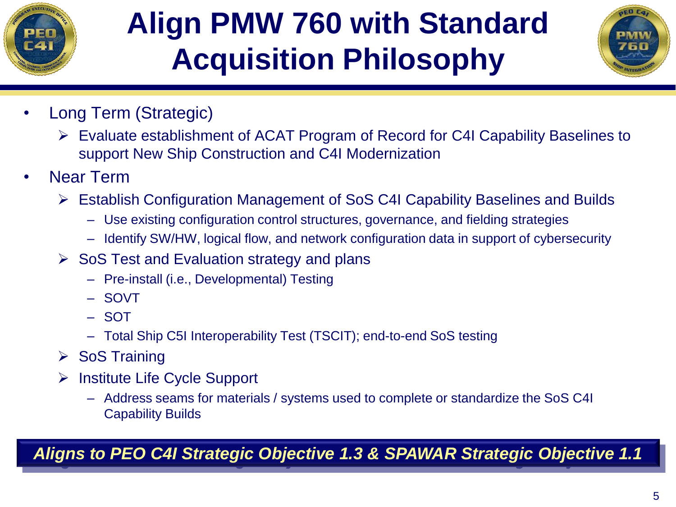

# **Align PMW 760 with Standard Acquisition Philosophy**



- Long Term (Strategic)
	- Evaluate establishment of ACAT Program of Record for C4I Capability Baselines to support New Ship Construction and C4I Modernization
- Near Term
	- Establish Configuration Management of SoS C4I Capability Baselines and Builds
		- Use existing configuration control structures, governance, and fielding strategies
		- Identify SW/HW, logical flow, and network configuration data in support of cybersecurity
	- $\triangleright$  SoS Test and Evaluation strategy and plans
		- Pre-install (i.e., Developmental) Testing
		- SOVT
		- SOT
		- Total Ship C5I Interoperability Test (TSCIT); end-to-end SoS testing
	- $\triangleright$  SoS Training
	- $\triangleright$  Institute Life Cycle Support
		- Address seams for materials / systems used to complete or standardize the SoS C4I Capability Builds

*Aligns to PEO C4I Strategic Objective 1.3 & SPAWAR Strategic Objective 1.1*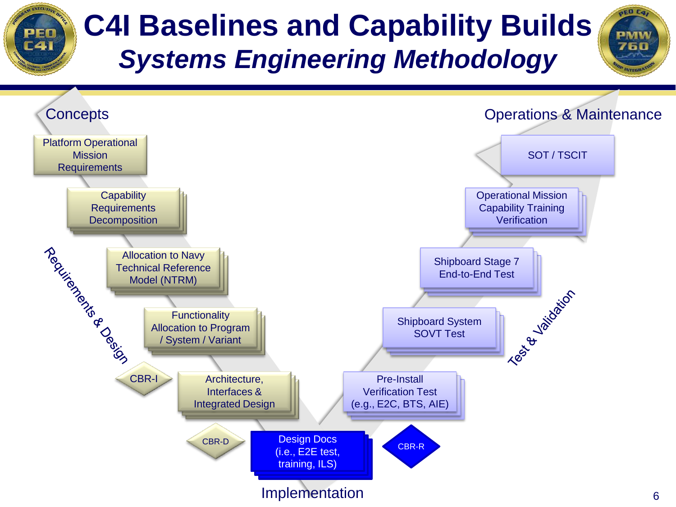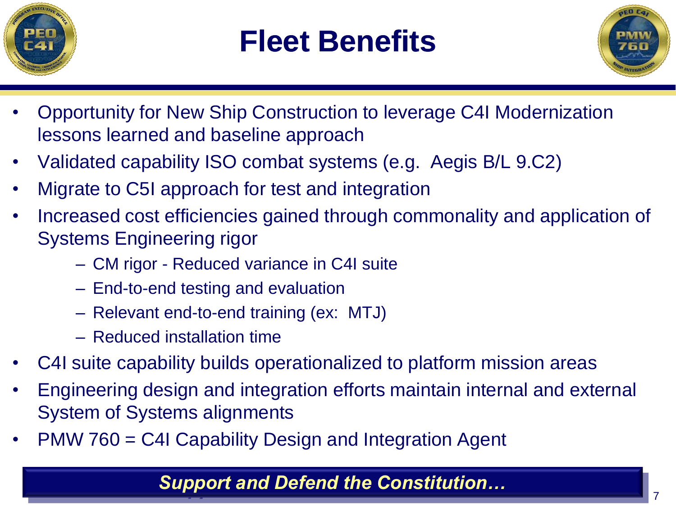

### **Fleet Benefits**



- Opportunity for New Ship Construction to leverage C4I Modernization lessons learned and baseline approach
- Validated capability ISO combat systems (e.g. Aegis B/L 9.C2)
- Migrate to C5I approach for test and integration
- Increased cost efficiencies gained through commonality and application of Systems Engineering rigor
	- CM rigor Reduced variance in C4I suite
	- End-to-end testing and evaluation
	- Relevant end-to-end training (ex: MTJ)
	- Reduced installation time
- C4I suite capability builds operationalized to platform mission areas
- Engineering design and integration efforts maintain internal and external System of Systems alignments
- PMW 760 = C4I Capability Design and Integration Agent

#### *Support and Defend the Constitution…*